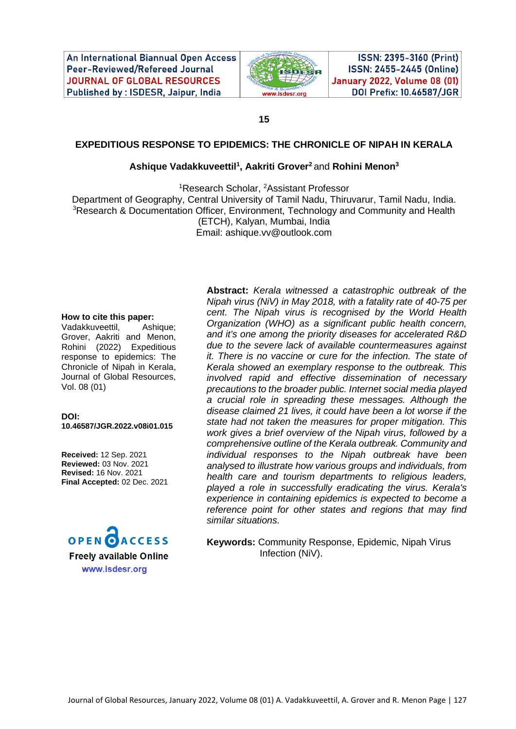An International Biannual Open Access Peer-Reviewed/Refereed Journal **JOURNAL OF GLOBAL RESOURCES** Published by: ISDESR, Jaipur, India



ISSN: 2395-3160 (Print) ISSN: 2455-2445 (Online) **January 2022, Volume 08 (01)** DOI Prefix: 10.46587/JGR

**15**

#### **EXPEDITIOUS RESPONSE TO EPIDEMICS: THE CHRONICLE OF NIPAH IN KERALA**

### **Ashique Vadakkuveettil<sup>1</sup> , Aakriti Grover<sup>2</sup>**and **Rohini Menon<sup>3</sup>**

<sup>1</sup>Research Scholar, <sup>2</sup>Assistant Professor Department of Geography, Central University of Tamil Nadu, Thiruvarur, Tamil Nadu, India. <sup>3</sup>Research & Documentation Officer, Environment, Technology and Community and Health (ETCH), Kalyan, Mumbai, India Email: [ashique.vv@outlook.com](mailto:ashique.vv@outlook.com)

#### **How to cite this paper:**

Vadakkuveettil, Ashique; Grover, Aakriti and Menon, Rohini (2022) Expeditious response to epidemics: The Chronicle of Nipah in Kerala, Journal of Global Resources, Vol. 08 (01)

**DOI: 10.46587/JGR.2022.v08i01.015**

**Received:** 12 Sep. 2021 **Reviewed:** 03 Nov. 2021 **Revised:** 16 Nov. 2021 **Final Accepted:** 02 Dec. 2021



**Abstract:** *Kerala witnessed a catastrophic outbreak of the Nipah virus (NiV) in May 2018, with a fatality rate of 40-75 per cent. The Nipah virus is recognised by the World Health Organization (WHO) as a significant public health concern, and it's one among the priority diseases for accelerated R&D due to the severe lack of available countermeasures against it. There is no vaccine or cure for the infection. The state of Kerala showed an exemplary response to the outbreak. This involved rapid and effective dissemination of necessary precautions to the broader public. Internet social media played a crucial role in spreading these messages. Although the disease claimed 21 lives, it could have been a lot worse if the state had not taken the measures for proper mitigation. This work gives a brief overview of the Nipah virus, followed by a comprehensive outline of the Kerala outbreak. Community and individual responses to the Nipah outbreak have been analysed to illustrate how various groups and individuals, from health care and tourism departments to religious leaders, played a role in successfully eradicating the virus. Kerala's experience in containing epidemics is expected to become a reference point for other states and regions that may find similar situations.*

**Keywords:** Community Response, Epidemic, Nipah Virus Infection (NiV).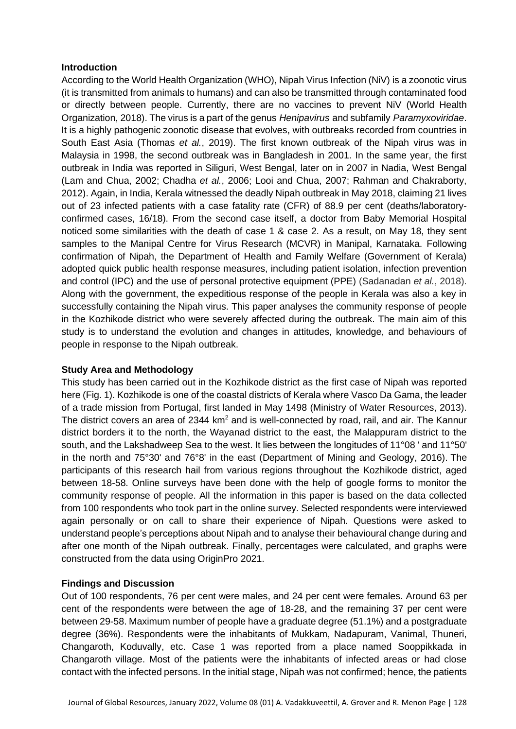## **Introduction**

According to the World Health Organization (WHO), Nipah Virus Infection (NiV) is a zoonotic virus (it is transmitted from animals to humans) and can also be transmitted through contaminated food or directly between people. Currently, there are no vaccines to prevent NiV (World Health Organization, 2018). The virus is a part of the genus *Henipavirus* and subfamily *Paramyxoviridae*. It is a highly pathogenic zoonotic disease that evolves, with outbreaks recorded from countries in South East Asia (Thomas *et al.*, 2019). The first known outbreak of the Nipah virus was in Malaysia in 1998, the second outbreak was in Bangladesh in 2001. In the same year, the first outbreak in India was reported in Siliguri, West Bengal, later on in 2007 in Nadia, West Bengal (Lam and Chua, 2002; Chadha *et al.*, 2006; Looi and Chua, 2007; Rahman and Chakraborty, 2012). Again, in India, Kerala witnessed the deadly Nipah outbreak in May 2018, claiming 21 lives out of 23 infected patients with a case fatality rate (CFR) of 88.9 per cent (deaths/laboratoryconfirmed cases, 16/18). From the second case itself, a doctor from Baby Memorial Hospital noticed some similarities with the death of case 1 & case 2. As a result, on May 18, they sent samples to the Manipal Centre for Virus Research (MCVR) in Manipal, Karnataka. Following confirmation of Nipah, the Department of Health and Family Welfare (Government of Kerala) adopted quick public health response measures, including patient isolation, infection prevention and control (IPC) and the use of personal protective equipment (PPE) (Sadanadan *et al.*, 2018). Along with the government, the expeditious response of the people in Kerala was also a key in successfully containing the Nipah virus. This paper analyses the community response of people in the Kozhikode district who were severely affected during the outbreak. The main aim of this study is to understand the evolution and changes in attitudes, knowledge, and behaviours of people in response to the Nipah outbreak.

# **Study Area and Methodology**

This study has been carried out in the Kozhikode district as the first case of Nipah was reported here (Fig. 1). Kozhikode is one of the coastal districts of Kerala where Vasco Da Gama, the leader of a trade mission from Portugal, first landed in May 1498 (Ministry of Water Resources, 2013). The district covers an area of 2344  $km<sup>2</sup>$  and is well-connected by road, rail, and air. The Kannur district borders it to the north, the Wayanad district to the east, the Malappuram district to the south, and the Lakshadweep Sea to the west. It lies between the longitudes of 11°08 ' and 11°50' in the north and 75°30' and 76°8' in the east (Department of Mining and Geology, 2016). The participants of this research hail from various regions throughout the Kozhikode district, aged between 18-58. Online surveys have been done with the help of google forms to monitor the community response of people. All the information in this paper is based on the data collected from 100 respondents who took part in the online survey. Selected respondents were interviewed again personally or on call to share their experience of Nipah. Questions were asked to understand people's perceptions about Nipah and to analyse their behavioural change during and after one month of the Nipah outbreak. Finally, percentages were calculated, and graphs were constructed from the data using OriginPro 2021.

## **Findings and Discussion**

Out of 100 respondents, 76 per cent were males, and 24 per cent were females. Around 63 per cent of the respondents were between the age of 18-28, and the remaining 37 per cent were between 29-58. Maximum number of people have a graduate degree (51.1%) and a postgraduate degree (36%). Respondents were the inhabitants of Mukkam, Nadapuram, Vanimal, Thuneri, Changaroth, Koduvally, etc. Case 1 was reported from a place named Sooppikkada in Changaroth village. Most of the patients were the inhabitants of infected areas or had close contact with the infected persons. In the initial stage, Nipah was not confirmed; hence, the patients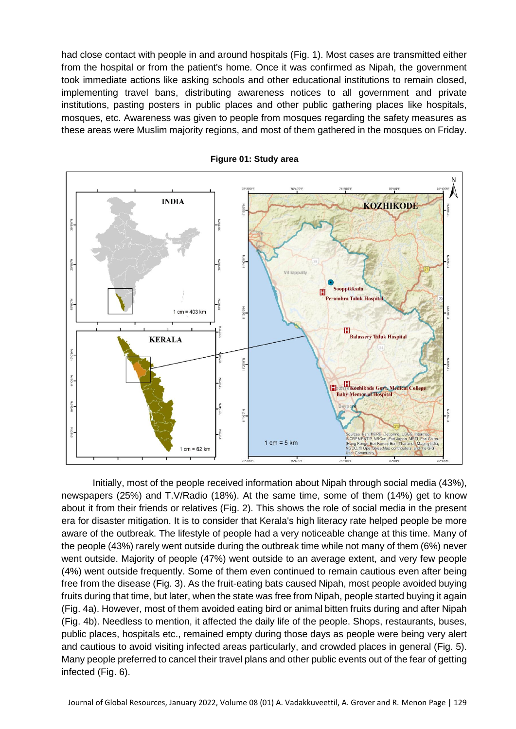had close contact with people in and around hospitals (Fig. 1). Most cases are transmitted either from the hospital or from the patient's home. Once it was confirmed as Nipah, the government took immediate actions like asking schools and other educational institutions to remain closed, implementing travel bans, distributing awareness notices to all government and private institutions, pasting posters in public places and other public gathering places like hospitals, mosques, etc. Awareness was given to people from mosques regarding the safety measures as these areas were Muslim majority regions, and most of them gathered in the mosques on Friday.



**Figure 01: Study area**

Initially, most of the people received information about Nipah through social media (43%), newspapers (25%) and T.V/Radio (18%). At the same time, some of them (14%) get to know about it from their friends or relatives (Fig. 2). This shows the role of social media in the present era for disaster mitigation. It is to consider that Kerala's high literacy rate helped people be more aware of the outbreak. The lifestyle of people had a very noticeable change at this time. Many of the people (43%) rarely went outside during the outbreak time while not many of them (6%) never went outside. Majority of people (47%) went outside to an average extent, and very few people (4%) went outside frequently. Some of them even continued to remain cautious even after being free from the disease (Fig. 3). As the fruit-eating bats caused Nipah, most people avoided buying fruits during that time, but later, when the state was free from Nipah, people started buying it again (Fig. 4a). However, most of them avoided eating bird or animal bitten fruits during and after Nipah (Fig. 4b). Needless to mention, it affected the daily life of the people. Shops, restaurants, buses, public places, hospitals etc., remained empty during those days as people were being very alert and cautious to avoid visiting infected areas particularly, and crowded places in general (Fig. 5). Many people preferred to cancel their travel plans and other public events out of the fear of getting infected (Fig. 6).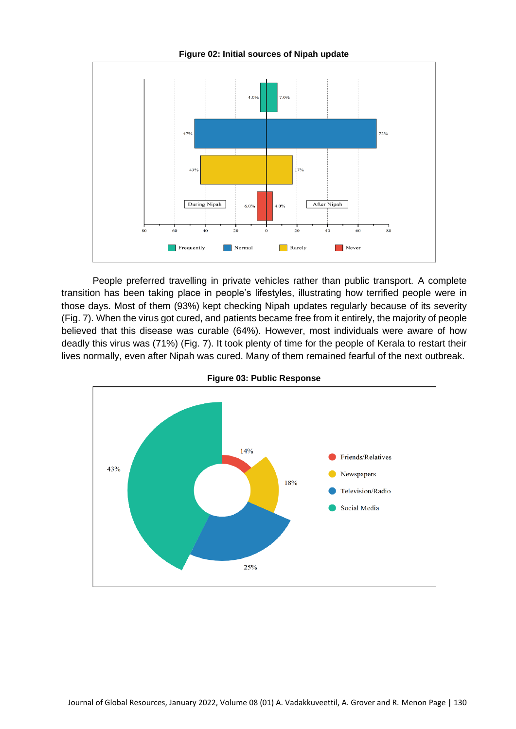

People preferred travelling in private vehicles rather than public transport. A complete transition has been taking place in people's lifestyles, illustrating how terrified people were in those days. Most of them (93%) kept checking Nipah updates regularly because of its severity (Fig. 7). When the virus got cured, and patients became free from it entirely, the majority of people believed that this disease was curable (64%). However, most individuals were aware of how deadly this virus was (71%) (Fig. 7). It took plenty of time for the people of Kerala to restart their lives normally, even after Nipah was cured. Many of them remained fearful of the next outbreak.



**Figure 03: Public Response**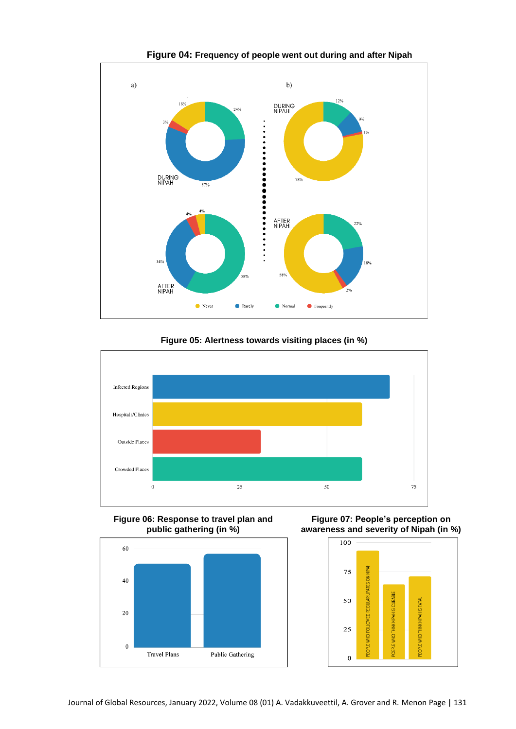

**Figure 05: Alertness towards visiting places (in %)**



**Figure 06: Response to travel plan and public gathering (in %)**



**Figure 07: People's perception on awareness and severity of Nipah (in %)**